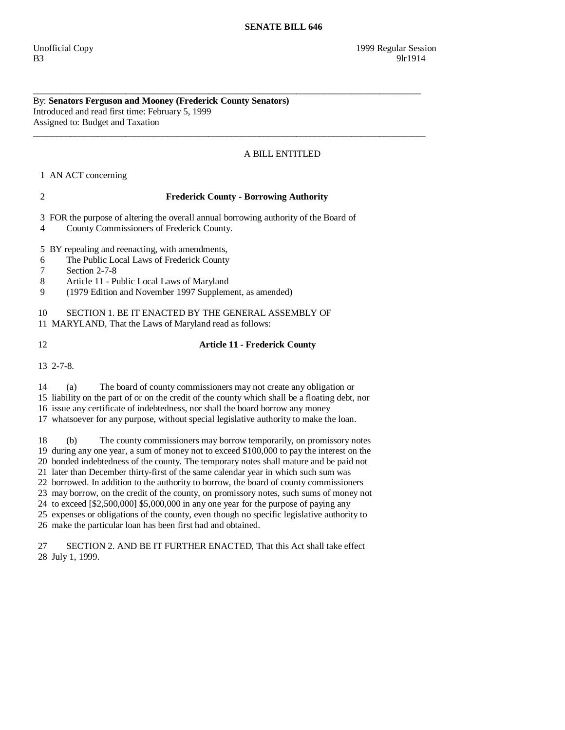By: **Senators Ferguson and Mooney (Frederick County Senators)**  Introduced and read first time: February 5, 1999 Assigned to: Budget and Taxation

## A BILL ENTITLED

1 AN ACT concerning

## 2 **Frederick County - Borrowing Authority**

\_\_\_\_\_\_\_\_\_\_\_\_\_\_\_\_\_\_\_\_\_\_\_\_\_\_\_\_\_\_\_\_\_\_\_\_\_\_\_\_\_\_\_\_\_\_\_\_\_\_\_\_\_\_\_\_\_\_\_\_\_\_\_\_\_\_\_\_\_\_\_\_\_\_\_\_\_\_\_\_\_\_\_\_

\_\_\_\_\_\_\_\_\_\_\_\_\_\_\_\_\_\_\_\_\_\_\_\_\_\_\_\_\_\_\_\_\_\_\_\_\_\_\_\_\_\_\_\_\_\_\_\_\_\_\_\_\_\_\_\_\_\_\_\_\_\_\_\_\_\_\_\_\_\_\_\_\_\_\_\_\_\_\_\_\_\_\_\_\_

3 FOR the purpose of altering the overall annual borrowing authority of the Board of

4 County Commissioners of Frederick County.

5 BY repealing and reenacting, with amendments,

- 6 The Public Local Laws of Frederick County
- 7 Section 2-7-8
- 8 Article 11 Public Local Laws of Maryland
- 9 (1979 Edition and November 1997 Supplement, as amended)

10 SECTION 1. BE IT ENACTED BY THE GENERAL ASSEMBLY OF

11 MARYLAND, That the Laws of Maryland read as follows:

## 12 **Article 11 - Frederick County**

13 2-7-8.

 14 (a) The board of county commissioners may not create any obligation or 15 liability on the part of or on the credit of the county which shall be a floating debt, nor

16 issue any certificate of indebtedness, nor shall the board borrow any money

17 whatsoever for any purpose, without special legislative authority to make the loan.

 18 (b) The county commissioners may borrow temporarily, on promissory notes 19 during any one year, a sum of money not to exceed \$100,000 to pay the interest on the 20 bonded indebtedness of the county. The temporary notes shall mature and be paid not

21 later than December thirty-first of the same calendar year in which such sum was

22 borrowed. In addition to the authority to borrow, the board of county commissioners

23 may borrow, on the credit of the county, on promissory notes, such sums of money not

24 to exceed [\$2,500,000] \$5,000,000 in any one year for the purpose of paying any

25 expenses or obligations of the county, even though no specific legislative authority to

26 make the particular loan has been first had and obtained.

 27 SECTION 2. AND BE IT FURTHER ENACTED, That this Act shall take effect 28 July 1, 1999.